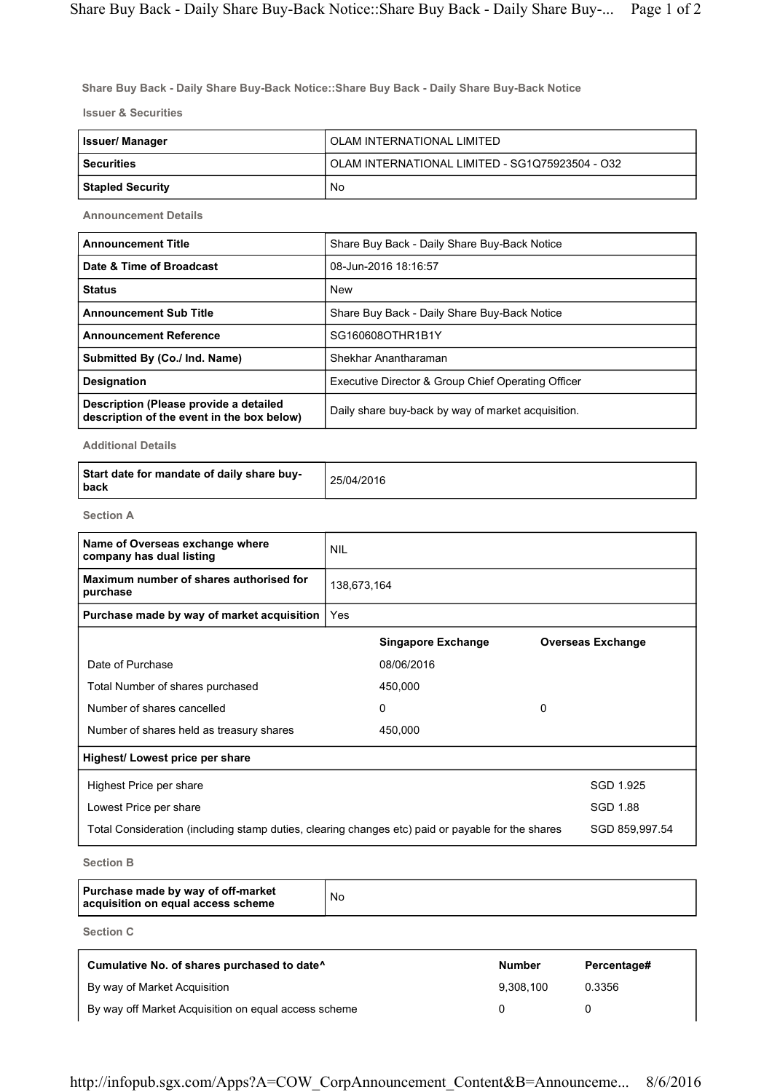Share Buy Back - Daily Share Buy-Back Notice::Share Buy Back - Daily Share Buy-Back Notice

Issuer & Securities

| <b>Issuer/Manager</b> | OLAM INTERNATIONAL LIMITED                      |
|-----------------------|-------------------------------------------------|
| l Securities          | OLAM INTERNATIONAL LIMITED - SG1Q75923504 - O32 |
| Stapled Security      | No                                              |

Announcement Details

| <b>Announcement Title</b>                                                            | Share Buy Back - Daily Share Buy-Back Notice       |
|--------------------------------------------------------------------------------------|----------------------------------------------------|
| Date & Time of Broadcast                                                             | 08-Jun-2016 18:16:57                               |
| <b>Status</b>                                                                        | <b>New</b>                                         |
| <b>Announcement Sub Title</b>                                                        | Share Buy Back - Daily Share Buy-Back Notice       |
| <b>Announcement Reference</b>                                                        | SG160608OTHR1B1Y                                   |
| Submitted By (Co./ Ind. Name)                                                        | Shekhar Anantharaman                               |
| <b>Designation</b>                                                                   | Executive Director & Group Chief Operating Officer |
| Description (Please provide a detailed<br>description of the event in the box below) | Daily share buy-back by way of market acquisition. |

Additional Details

| Start date for mandate of daily share buy-<br>back | 25/04/2016 |
|----------------------------------------------------|------------|
|----------------------------------------------------|------------|

Section A

| Name of Overseas exchange where<br>company has dual listing                                       | <b>NIL</b>  |                           |   |                          |
|---------------------------------------------------------------------------------------------------|-------------|---------------------------|---|--------------------------|
| Maximum number of shares authorised for<br>purchase                                               | 138,673,164 |                           |   |                          |
| Purchase made by way of market acquisition                                                        | Yes         |                           |   |                          |
|                                                                                                   |             | <b>Singapore Exchange</b> |   | <b>Overseas Exchange</b> |
| Date of Purchase                                                                                  |             | 08/06/2016                |   |                          |
| Total Number of shares purchased                                                                  |             | 450,000                   |   |                          |
| Number of shares cancelled                                                                        |             | 0                         | 0 |                          |
| Number of shares held as treasury shares                                                          |             | 450,000                   |   |                          |
| Highest/ Lowest price per share                                                                   |             |                           |   |                          |
| Highest Price per share                                                                           |             |                           |   | SGD 1.925                |
| Lowest Price per share                                                                            |             |                           |   | SGD 1.88                 |
| Total Consideration (including stamp duties, clearing changes etc) paid or payable for the shares |             |                           |   | SGD 859,997.54           |

Section B

| Purchase made by way of off-market<br>acquisition on equal access scheme | No |
|--------------------------------------------------------------------------|----|
|--------------------------------------------------------------------------|----|

Section C

| Cumulative No. of shares purchased to date <sup>^</sup> | <b>Number</b> | Percentage# |
|---------------------------------------------------------|---------------|-------------|
| By way of Market Acquisition                            | 9.308.100     | 0.3356      |
| By way off Market Acquisition on equal access scheme    |               |             |